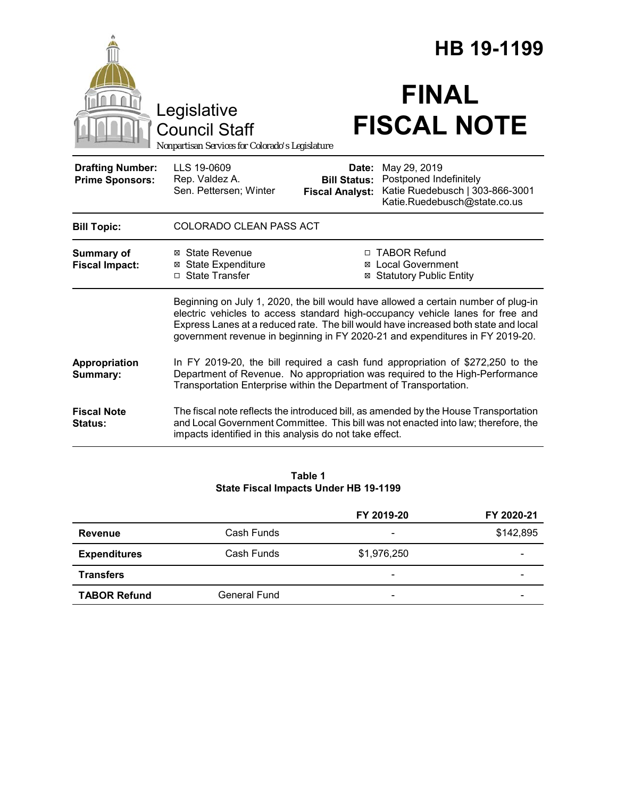|                                                   | Legislative<br><b>Council Staff</b><br>Nonpartisan Services for Colorado's Legislature                                                                                                                                               |                                                        | HB 19-1199<br><b>FINAL</b><br><b>FISCAL NOTE</b>                                                                                                                                                                                                                                                                                             |
|---------------------------------------------------|--------------------------------------------------------------------------------------------------------------------------------------------------------------------------------------------------------------------------------------|--------------------------------------------------------|----------------------------------------------------------------------------------------------------------------------------------------------------------------------------------------------------------------------------------------------------------------------------------------------------------------------------------------------|
| <b>Drafting Number:</b><br><b>Prime Sponsors:</b> | LLS 19-0609<br>Rep. Valdez A.<br>Sen. Pettersen; Winter                                                                                                                                                                              | Date:<br><b>Bill Status:</b><br><b>Fiscal Analyst:</b> | May 29, 2019<br>Postponed Indefinitely<br>Katie Ruedebusch   303-866-3001<br>Katie.Ruedebusch@state.co.us                                                                                                                                                                                                                                    |
| <b>Bill Topic:</b>                                | <b>COLORADO CLEAN PASS ACT</b>                                                                                                                                                                                                       |                                                        |                                                                                                                                                                                                                                                                                                                                              |
| <b>Summary of</b><br><b>Fiscal Impact:</b>        | ⊠ State Revenue<br><b>⊠</b> State Expenditure<br>□ State Transfer                                                                                                                                                                    |                                                        | □ TABOR Refund<br><b>⊠</b> Local Government<br><b>⊠ Statutory Public Entity</b>                                                                                                                                                                                                                                                              |
|                                                   |                                                                                                                                                                                                                                      |                                                        | Beginning on July 1, 2020, the bill would have allowed a certain number of plug-in<br>electric vehicles to access standard high-occupancy vehicle lanes for free and<br>Express Lanes at a reduced rate. The bill would have increased both state and local<br>government revenue in beginning in FY 2020-21 and expenditures in FY 2019-20. |
| Appropriation<br>Summary:                         | In FY 2019-20, the bill required a cash fund appropriation of \$272,250 to the<br>Department of Revenue. No appropriation was required to the High-Performance<br>Transportation Enterprise within the Department of Transportation. |                                                        |                                                                                                                                                                                                                                                                                                                                              |
| <b>Fiscal Note</b><br>Status:                     | impacts identified in this analysis do not take effect.                                                                                                                                                                              |                                                        | The fiscal note reflects the introduced bill, as amended by the House Transportation<br>and Local Government Committee. This bill was not enacted into law; therefore, the                                                                                                                                                                   |
|                                                   |                                                                                                                                                                                                                                      |                                                        |                                                                                                                                                                                                                                                                                                                                              |

#### **Table 1 State Fiscal Impacts Under HB 19-1199**

|                     |                     | FY 2019-20               | FY 2020-21 |
|---------------------|---------------------|--------------------------|------------|
| <b>Revenue</b>      | Cash Funds          | $\overline{\phantom{0}}$ | \$142,895  |
| <b>Expenditures</b> | Cash Funds          | \$1,976,250              |            |
| <b>Transfers</b>    |                     | $\overline{\phantom{a}}$ |            |
| <b>TABOR Refund</b> | <b>General Fund</b> | $\qquad \qquad$          |            |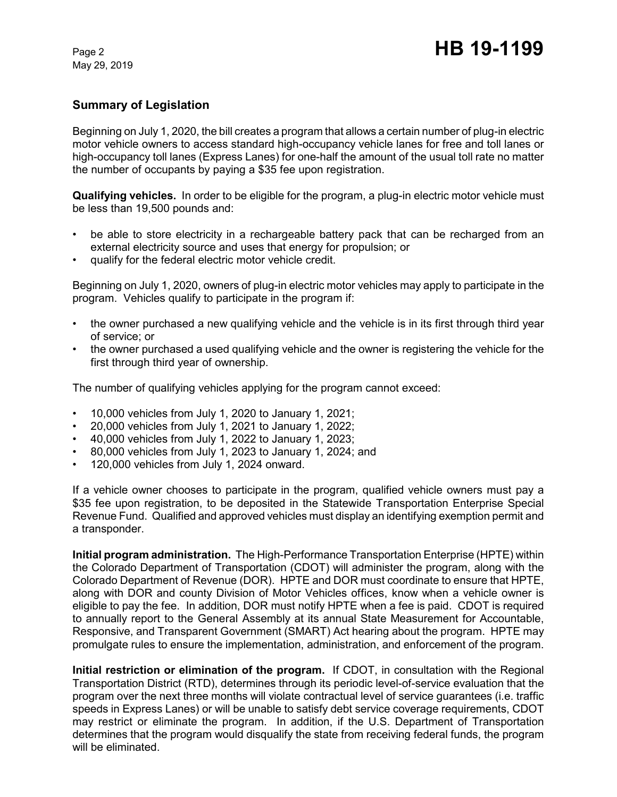# **Summary of Legislation**

Beginning on July 1, 2020, the bill creates a program that allows a certain number of plug-in electric motor vehicle owners to access standard high-occupancy vehicle lanes for free and toll lanes or high-occupancy toll lanes (Express Lanes) for one-half the amount of the usual toll rate no matter the number of occupants by paying a \$35 fee upon registration.

**Qualifying vehicles.** In order to be eligible for the program, a plug-in electric motor vehicle must be less than 19,500 pounds and:

- be able to store electricity in a rechargeable battery pack that can be recharged from an external electricity source and uses that energy for propulsion; or
- qualify for the federal electric motor vehicle credit.

Beginning on July 1, 2020, owners of plug-in electric motor vehicles may apply to participate in the program. Vehicles qualify to participate in the program if:

- the owner purchased a new qualifying vehicle and the vehicle is in its first through third year of service; or
- the owner purchased a used qualifying vehicle and the owner is registering the vehicle for the first through third year of ownership.

The number of qualifying vehicles applying for the program cannot exceed:

- 10,000 vehicles from July 1, 2020 to January 1, 2021;
- 20,000 vehicles from July 1, 2021 to January 1, 2022;
- 40,000 vehicles from July 1, 2022 to January 1, 2023;
- 80,000 vehicles from July 1, 2023 to January 1, 2024; and
- 120,000 vehicles from July 1, 2024 onward.

If a vehicle owner chooses to participate in the program, qualified vehicle owners must pay a \$35 fee upon registration, to be deposited in the Statewide Transportation Enterprise Special Revenue Fund. Qualified and approved vehicles must display an identifying exemption permit and a transponder.

**Initial program administration.** The High-Performance Transportation Enterprise (HPTE) within the Colorado Department of Transportation (CDOT) will administer the program, along with the Colorado Department of Revenue (DOR). HPTE and DOR must coordinate to ensure that HPTE, along with DOR and county Division of Motor Vehicles offices, know when a vehicle owner is eligible to pay the fee. In addition, DOR must notify HPTE when a fee is paid. CDOT is required to annually report to the General Assembly at its annual State Measurement for Accountable, Responsive, and Transparent Government (SMART) Act hearing about the program. HPTE may promulgate rules to ensure the implementation, administration, and enforcement of the program.

**Initial restriction or elimination of the program.** If CDOT, in consultation with the Regional Transportation District (RTD), determines through its periodic level-of-service evaluation that the program over the next three months will violate contractual level of service guarantees (i.e. traffic speeds in Express Lanes) or will be unable to satisfy debt service coverage requirements, CDOT may restrict or eliminate the program. In addition, if the U.S. Department of Transportation determines that the program would disqualify the state from receiving federal funds, the program will be eliminated.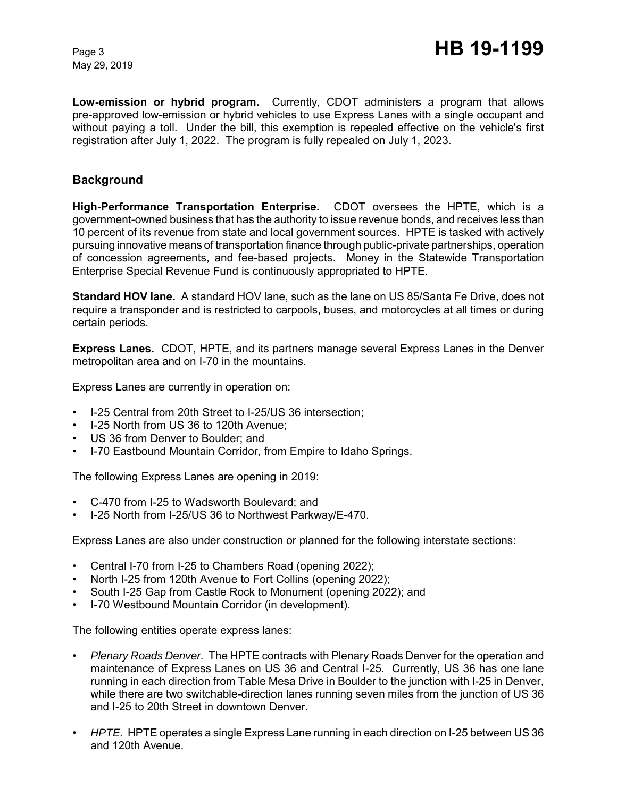**Low-emission or hybrid program.** Currently, CDOT administers a program that allows pre-approved low-emission or hybrid vehicles to use Express Lanes with a single occupant and without paying a toll. Under the bill, this exemption is repealed effective on the vehicle's first registration after July 1, 2022. The program is fully repealed on July 1, 2023.

### **Background**

**High-Performance Transportation Enterprise.** CDOT oversees the HPTE, which is a government-owned business that has the authority to issue revenue bonds, and receives less than 10 percent of its revenue from state and local government sources. HPTE is tasked with actively pursuing innovative means of transportation finance through public-private partnerships, operation of concession agreements, and fee-based projects. Money in the Statewide Transportation Enterprise Special Revenue Fund is continuously appropriated to HPTE.

**Standard HOV lane.** A standard HOV lane, such as the lane on US 85/Santa Fe Drive, does not require a transponder and is restricted to carpools, buses, and motorcycles at all times or during certain periods.

**Express Lanes.** CDOT, HPTE, and its partners manage several Express Lanes in the Denver metropolitan area and on I-70 in the mountains.

Express Lanes are currently in operation on:

- I-25 Central from 20th Street to I-25/US 36 intersection;
- I-25 North from US 36 to 120th Avenue;
- US 36 from Denver to Boulder; and
- I-70 Eastbound Mountain Corridor, from Empire to Idaho Springs.

The following Express Lanes are opening in 2019:

- C-470 from I-25 to Wadsworth Boulevard; and
- I-25 North from I-25/US 36 to Northwest Parkway/E-470.

Express Lanes are also under construction or planned for the following interstate sections:

- Central I-70 from I-25 to Chambers Road (opening 2022);
- North I-25 from 120th Avenue to Fort Collins (opening 2022);
- South I-25 Gap from Castle Rock to Monument (opening 2022); and
- I-70 Westbound Mountain Corridor (in development).

The following entities operate express lanes:

- *Plenary Roads Denver.* The HPTE contracts with Plenary Roads Denver for the operation and maintenance of Express Lanes on US 36 and Central I-25. Currently, US 36 has one lane running in each direction from Table Mesa Drive in Boulder to the junction with I-25 in Denver, while there are two switchable-direction lanes running seven miles from the junction of US 36 and I-25 to 20th Street in downtown Denver.
- *HPTE.* HPTE operates a single Express Lane running in each direction on I-25 between US 36 and 120th Avenue.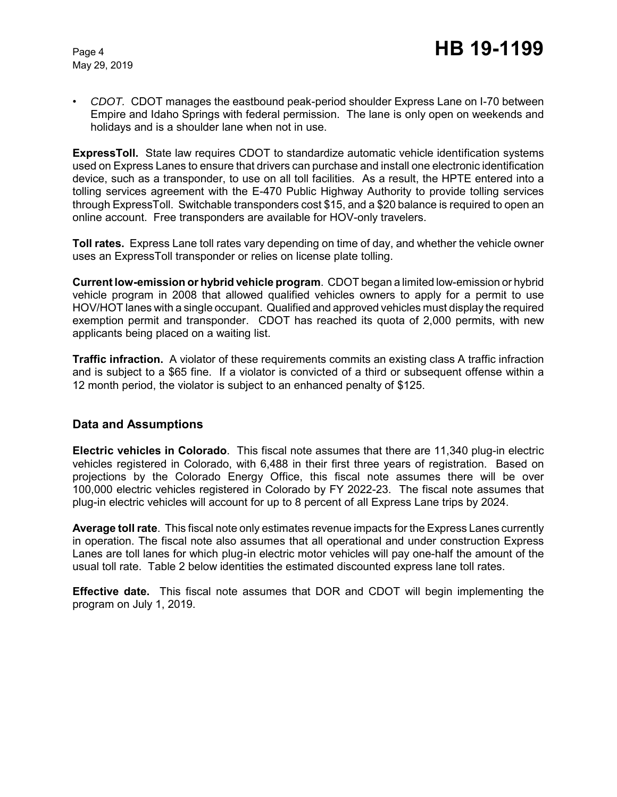• *CDOT.* CDOT manages the eastbound peak-period shoulder Express Lane on I-70 between Empire and Idaho Springs with federal permission. The lane is only open on weekends and holidays and is a shoulder lane when not in use.

**ExpressToll.** State law requires CDOT to standardize automatic vehicle identification systems used on Express Lanes to ensure that drivers can purchase and install one electronic identification device, such as a transponder, to use on all toll facilities. As a result, the HPTE entered into a tolling services agreement with the E-470 Public Highway Authority to provide tolling services through ExpressToll. Switchable transponders cost \$15, and a \$20 balance is required to open an online account. Free transponders are available for HOV-only travelers.

**Toll rates.** Express Lane toll rates vary depending on time of day, and whether the vehicle owner uses an ExpressToll transponder or relies on license plate tolling.

**Current low-emission or hybrid vehicle program**.CDOT began a limited low-emission or hybrid vehicle program in 2008 that allowed qualified vehicles owners to apply for a permit to use HOV/HOT lanes with a single occupant. Qualified and approved vehicles must display the required exemption permit and transponder. CDOT has reached its quota of 2,000 permits, with new applicants being placed on a waiting list.

**Traffic infraction.** A violator of these requirements commits an existing class A traffic infraction and is subject to a \$65 fine. If a violator is convicted of a third or subsequent offense within a 12 month period, the violator is subject to an enhanced penalty of \$125.

### **Data and Assumptions**

**Electric vehicles in Colorado**. This fiscal note assumes that there are 11,340 plug-in electric vehicles registered in Colorado, with 6,488 in their first three years of registration. Based on projections by the Colorado Energy Office, this fiscal note assumes there will be over 100,000 electric vehicles registered in Colorado by FY 2022-23. The fiscal note assumes that plug-in electric vehicles will account for up to 8 percent of all Express Lane trips by 2024.

**Average toll rate**. This fiscal note only estimates revenue impacts for the Express Lanes currently in operation. The fiscal note also assumes that all operational and under construction Express Lanes are toll lanes for which plug-in electric motor vehicles will pay one-half the amount of the usual toll rate. Table 2 below identities the estimated discounted express lane toll rates.

**Effective date.** This fiscal note assumes that DOR and CDOT will begin implementing the program on July 1, 2019.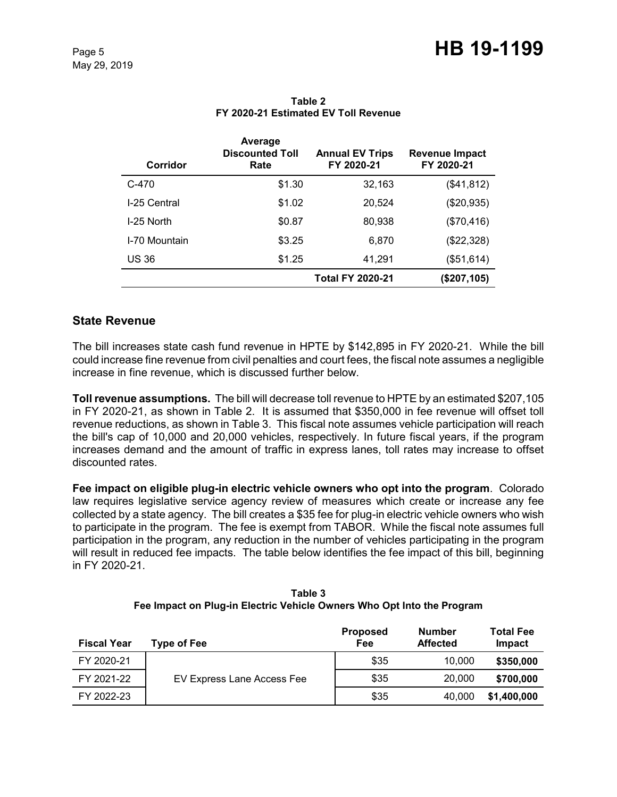| Corridor      | Average<br><b>Discounted Toll</b><br>Rate | <b>Annual EV Trips</b><br>FY 2020-21 | Revenue Impact<br>FY 2020-21 |
|---------------|-------------------------------------------|--------------------------------------|------------------------------|
| $C-470$       | \$1.30                                    | 32,163                               | (\$41,812)                   |
| I-25 Central  | \$1.02                                    | 20,524                               | (\$20,935)                   |
| I-25 North    | \$0.87                                    | 80,938                               | (\$70,416)                   |
| I-70 Mountain | \$3.25                                    | 6,870                                | (\$22,328)                   |
| <b>US 36</b>  | \$1.25                                    | 41,291                               | (\$51,614)                   |
|               |                                           | <b>Total FY 2020-21</b>              | (\$207,105)                  |

### **Table 2 FY 2020-21 Estimated EV Toll Revenue**

# **State Revenue**

The bill increases state cash fund revenue in HPTE by \$142,895 in FY 2020-21. While the bill could increase fine revenue from civil penalties and court fees, the fiscal note assumes a negligible increase in fine revenue, which is discussed further below.

**Toll revenue assumptions.** The bill will decrease toll revenue to HPTE by an estimated \$207,105 in FY 2020-21, as shown in Table 2. It is assumed that \$350,000 in fee revenue will offset toll revenue reductions, as shown in Table 3. This fiscal note assumes vehicle participation will reach the bill's cap of 10,000 and 20,000 vehicles, respectively. In future fiscal years, if the program increases demand and the amount of traffic in express lanes, toll rates may increase to offset discounted rates.

**Fee impact on eligible plug-in electric vehicle owners who opt into the program**. Colorado law requires legislative service agency review of measures which create or increase any fee collected by a state agency. The bill creates a \$35 fee for plug-in electric vehicle owners who wish to participate in the program. The fee is exempt from TABOR. While the fiscal note assumes full participation in the program, any reduction in the number of vehicles participating in the program will result in reduced fee impacts. The table below identifies the fee impact of this bill, beginning in FY 2020-21.

| Table 3                                                                |
|------------------------------------------------------------------------|
| Fee Impact on Plug-in Electric Vehicle Owners Who Opt Into the Program |

| <b>Fiscal Year</b> | Type of Fee                | <b>Proposed</b><br>Fee | <b>Number</b><br><b>Affected</b> | <b>Total Fee</b><br>Impact |
|--------------------|----------------------------|------------------------|----------------------------------|----------------------------|
| FY 2020-21         |                            | \$35                   | 10.000                           | \$350,000                  |
| FY 2021-22         | EV Express Lane Access Fee | \$35                   | 20,000                           | \$700,000                  |
| FY 2022-23         |                            | \$35                   | 40,000                           | \$1,400,000                |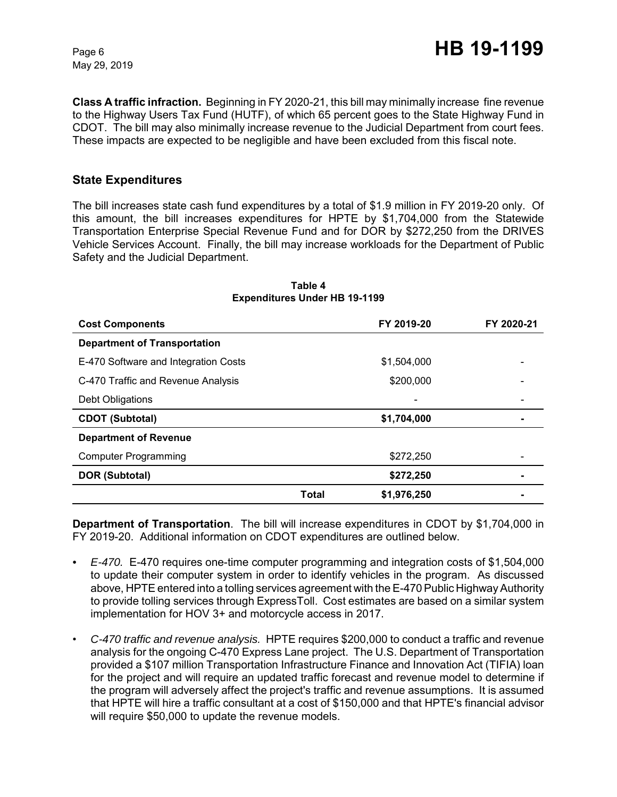**Class A traffic infraction.** Beginning in FY 2020-21, this bill may minimally increase fine revenue to the Highway Users Tax Fund (HUTF), of which 65 percent goes to the State Highway Fund in CDOT. The bill may also minimally increase revenue to the Judicial Department from court fees. These impacts are expected to be negligible and have been excluded from this fiscal note.

### **State Expenditures**

The bill increases state cash fund expenditures by a total of \$1.9 million in FY 2019-20 only. Of this amount, the bill increases expenditures for HPTE by \$1,704,000 from the Statewide Transportation Enterprise Special Revenue Fund and for DOR by \$272,250 from the DRIVES Vehicle Services Account. Finally, the bill may increase workloads for the Department of Public Safety and the Judicial Department.

| <b>Cost Components</b>               |       | FY 2019-20               | FY 2020-21 |
|--------------------------------------|-------|--------------------------|------------|
| <b>Department of Transportation</b>  |       |                          |            |
| E-470 Software and Integration Costs |       | \$1,504,000              |            |
| C-470 Traffic and Revenue Analysis   |       | \$200,000                |            |
| Debt Obligations                     |       | $\overline{\phantom{0}}$ |            |
| <b>CDOT (Subtotal)</b>               |       | \$1,704,000              |            |
| <b>Department of Revenue</b>         |       |                          |            |
| <b>Computer Programming</b>          |       | \$272,250                |            |
| <b>DOR (Subtotal)</b>                |       | \$272,250                |            |
|                                      | Total | \$1,976,250              |            |

#### **Table 4 Expenditures Under HB 19-1199**

**Department of Transportation**. The bill will increase expenditures in CDOT by \$1,704,000 in FY 2019-20. Additional information on CDOT expenditures are outlined below.

- *E-470.* E-470 requires one-time computer programming and integration costs of \$1,504,000 to update their computer system in order to identify vehicles in the program. As discussed above, HPTE entered into a tolling services agreement with the E-470 Public Highway Authority to provide tolling services through ExpressToll. Cost estimates are based on a similar system implementation for HOV 3+ and motorcycle access in 2017.
- *C-470 traffic and revenue analysis.* HPTE requires \$200,000 to conduct a traffic and revenue analysis for the ongoing C-470 Express Lane project. The U.S. Department of Transportation provided a \$107 million Transportation Infrastructure Finance and Innovation Act (TIFIA) loan for the project and will require an updated traffic forecast and revenue model to determine if the program will adversely affect the project's traffic and revenue assumptions. It is assumed that HPTE will hire a traffic consultant at a cost of \$150,000 and that HPTE's financial advisor will require \$50,000 to update the revenue models.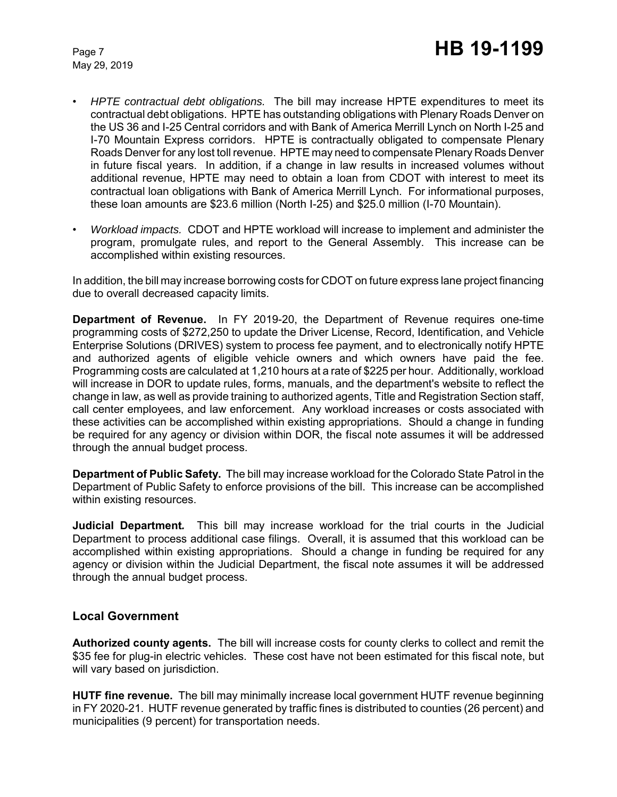- *HPTE contractual debt obligations.* The bill may increase HPTE expenditures to meet its contractual debt obligations. HPTE has outstanding obligations with Plenary Roads Denver on the US 36 and I-25 Central corridors and with Bank of America Merrill Lynch on North I-25 and I-70 Mountain Express corridors. HPTE is contractually obligated to compensate Plenary Roads Denver for any lost toll revenue. HPTE may need to compensate Plenary Roads Denver in future fiscal years. In addition, if a change in law results in increased volumes without additional revenue, HPTE may need to obtain a loan from CDOT with interest to meet its contractual loan obligations with Bank of America Merrill Lynch. For informational purposes, these loan amounts are \$23.6 million (North I-25) and \$25.0 million (I-70 Mountain).
- *Workload impacts.* CDOT and HPTE workload will increase to implement and administer the program, promulgate rules, and report to the General Assembly. This increase can be accomplished within existing resources.

In addition, the bill may increase borrowing costs for CDOT on future express lane project financing due to overall decreased capacity limits.

**Department of Revenue.** In FY 2019-20, the Department of Revenue requires one-time programming costs of \$272,250 to update the Driver License, Record, Identification, and Vehicle Enterprise Solutions (DRIVES) system to process fee payment, and to electronically notify HPTE and authorized agents of eligible vehicle owners and which owners have paid the fee. Programming costs are calculated at 1,210 hours at a rate of \$225 per hour. Additionally, workload will increase in DOR to update rules, forms, manuals, and the department's website to reflect the change in law, as well as provide training to authorized agents, Title and Registration Section staff, call center employees, and law enforcement. Any workload increases or costs associated with these activities can be accomplished within existing appropriations. Should a change in funding be required for any agency or division within DOR, the fiscal note assumes it will be addressed through the annual budget process.

**Department of Public Safety.** The bill may increase workload for the Colorado State Patrol in the Department of Public Safety to enforce provisions of the bill. This increase can be accomplished within existing resources.

**Judicial Department***.* This bill may increase workload for the trial courts in the Judicial Department to process additional case filings. Overall, it is assumed that this workload can be accomplished within existing appropriations. Should a change in funding be required for any agency or division within the Judicial Department, the fiscal note assumes it will be addressed through the annual budget process.

### **Local Government**

**Authorized county agents.** The bill will increase costs for county clerks to collect and remit the \$35 fee for plug-in electric vehicles. These cost have not been estimated for this fiscal note, but will vary based on jurisdiction.

**HUTF fine revenue.** The bill may minimally increase local government HUTF revenue beginning in FY 2020-21. HUTF revenue generated by traffic fines is distributed to counties (26 percent) and municipalities (9 percent) for transportation needs.